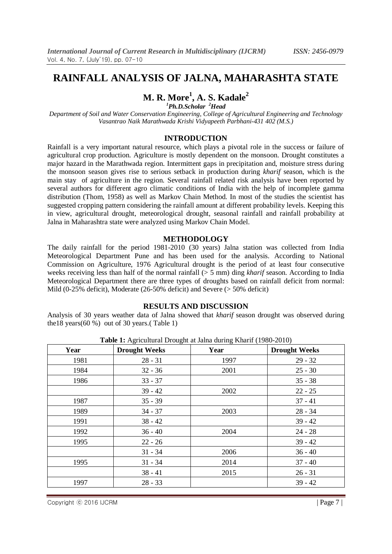# **RAINFALL ANALYSIS OF JALNA, MAHARASHTA STATE**

# **M. R. More<sup>1</sup> , A. S. Kadale<sup>2</sup>**

*<sup>1</sup>Ph.D.Scholar <sup>2</sup>Head*

*Department of Soil and Water Conservation Engineering, College of Agricultural Engineering and Technology Vasantrao Naik Marathwada Krishi Vidyapeeth Parbhani-431 402 (M.S.)*

#### **INTRODUCTION**

Rainfall is a very important natural resource, which plays a pivotal role in the success or failure of agricultural crop production. Agriculture is mostly dependent on the monsoon. Drought constitutes a major hazard in the Marathwada region. Intermittent gaps in precipitation and, moisture stress during the monsoon season gives rise to serious setback in production during *kharif* season, which is the main stay of agriculture in the region. Several rainfall related risk analysis have been reported by several authors for different agro climatic conditions of India with the help of incomplete gamma distribution (Thom, 1958) as well as Markov Chain Method. In most of the studies the scientist has suggested cropping pattern considering the rainfall amount at different probability levels. Keeping this in view, agricultural drought, meteorological drought, seasonal rainfall and rainfall probability at Jalna in Maharashtra state were analyzed using Markov Chain Model.

#### **METHODOLOGY**

The daily rainfall for the period 1981-2010 (30 years) Jalna station was collected from India Meteorological Department Pune and has been used for the analysis. According to National Commission on Agriculture, 1976 Agricultural drought is the period of at least four consecutive weeks receiving less than half of the normal rainfall (> 5 mm) ding *kharif* season. According to India Meteorological Department there are three types of droughts based on rainfall deficit from normal: Mild (0-25% deficit), Moderate (26-50% deficit) and Severe (> 50% deficit)

#### **RESULTS AND DISCUSSION**

Analysis of 30 years weather data of Jalna showed that *kharif* season drought was observed during the18 years $(60 \%)$  out of 30 years.(Table 1)

| Year | <b>Drought Weeks</b> | <b>Tuble 1.</b> Transferance Drought at sama daring ixilarit (1700 2010)<br>Year | <b>Drought Weeks</b> |
|------|----------------------|----------------------------------------------------------------------------------|----------------------|
| 1981 | $28 - 31$            | 1997                                                                             | $29 - 32$            |
| 1984 | $32 - 36$            | 2001                                                                             | $25 - 30$            |
| 1986 | $33 - 37$            |                                                                                  | $35 - 38$            |
|      | $39 - 42$            | 2002                                                                             | $22 - 25$            |
| 1987 | $35 - 39$            |                                                                                  | $37 - 41$            |
| 1989 | $34 - 37$            | 2003                                                                             | $28 - 34$            |
| 1991 | $38 - 42$            |                                                                                  | $39 - 42$            |
| 1992 | $36 - 40$            | 2004                                                                             | $24 - 28$            |
| 1995 | $22 - 26$            |                                                                                  | $39 - 42$            |
|      | $31 - 34$            | 2006                                                                             | $36 - 40$            |
| 1995 | $31 - 34$            | 2014                                                                             | $37 - 40$            |
|      | $38 - 41$            | 2015                                                                             | $26 - 31$            |
| 1997 | $28 - 33$            |                                                                                  | $39 - 42$            |

**Table 1:** Agricultural Drought at Jalna during Kharif (1980-2010)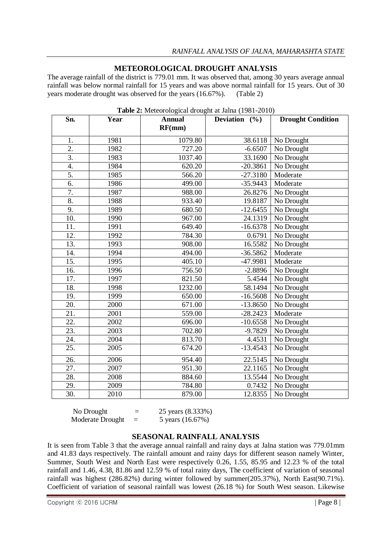## **METEOROLOGICAL DROUGHT ANALYSIS**

The average rainfall of the district is 779.01 mm. It was observed that, among 30 years average annual rainfall was below normal rainfall for 15 years and was above normal rainfall for 15 years. Out of 30 years moderate drought was observed for the years (16.67%). (Table 2)

| Sn.              | Year | $\sim$ $\sim$ $\sim$ $\sim$ $\sim$<br><b>Annual</b><br>RF(mm) | Deviation $(%)$ | <b>Drought Condition</b>       |
|------------------|------|---------------------------------------------------------------|-----------------|--------------------------------|
| 1.               | 1981 | 1079.80                                                       | 38.6118         | No Drought                     |
| $\overline{2}$ . | 1982 | 727.20                                                        | $-6.6507$       | No Drought                     |
| $\overline{3}$ . | 1983 | 1037.40                                                       | 33.1690         | No Drought                     |
| 4.               | 1984 | 620.20                                                        | $-20.3861$      | No Drought                     |
| 5.               | 1985 | 566.20                                                        | $-27.3180$      | Moderate                       |
| 6.               | 1986 | 499.00                                                        | $-35.9443$      | Moderate                       |
| $\overline{7}$ . | 1987 | 988.00                                                        | 26.8276         | No Drought                     |
| 8.               | 1988 | 933.40                                                        | 19.8187         | No Drought                     |
| 9.               | 1989 | 680.50                                                        | $-12.6455$      | No Drought                     |
| 10.              | 1990 | 967.00                                                        | 24.1319         | No Drought                     |
| 11.              | 1991 | 649.40                                                        | $-16.6378$      | No Drought                     |
| 12.              | 1992 | 784.30                                                        | 0.6791          | No Drought                     |
| 13.              | 1993 | 908.00                                                        | 16.5582         | No Drought                     |
| 14.              | 1994 | 494.00                                                        | $-36.5862$      | Moderate                       |
| 15.              | 1995 | 405.10                                                        | -47.9981        | Moderate                       |
| 16.              | 1996 | 756.50                                                        | $-2.8896$       | No Drought                     |
| 17.              | 1997 | 821.50                                                        | 5.4544          | No Drought                     |
| 18.              | 1998 | 1232.00                                                       | 58.1494         | No Drought                     |
| 19.              | 1999 | 650.00                                                        | $-16.5608$      | No Drought                     |
| 20.              | 2000 | 671.00                                                        | $-13.8650$      | No Drought                     |
| 21.              | 2001 | 559.00                                                        | $-28.2423$      | Moderate                       |
| 22.              | 2002 | 696.00                                                        | $-10.6558$      | No Drought                     |
| 23.              | 2003 | 702.80                                                        | $-9.7829$       | No Drought                     |
| 24.              | 2004 | 813.70                                                        | 4.4531          | No Drought                     |
| 25.              | 2005 | 674.20                                                        | $-13.4543$      | No Drought                     |
| 26.              | 2006 | 954.40                                                        | 22.5145         | No Drought                     |
| 27.              | 2007 | 951.30                                                        | 22.1165         | $\overline{\text{No}}$ Drought |
| 28.              | 2008 | 884.60                                                        | 13.5544         | No Drought                     |
| 29.              | 2009 | 784.80                                                        | 0.7432          | No Drought                     |
| 30.              | 2010 | 879.00                                                        | 12.8355         | No Drought                     |

**Table 2:** Meteorological drought at Jalna (1981-2010)

Moderate Drought  $=$  5 years (16.67%)

No Drought  $=$  25 years  $(8.333\%)$ 

### **SEASONAL RAINFALL ANALYSIS**

It is seen from Table 3 that the average annual rainfall and rainy days at Jalna station was 779.01mm and 41.83 days respectively. The rainfall amount and rainy days for different season namely Winter, Summer, South West and North East were respectively 0.26, 1.55, 85.95 and 12.23 % of the total rainfall and 1.46, 4.38, 81.86 and 12.59 % of total rainy days, The coefficient of variation of seasonal rainfall was highest (286.82%) during winter followed by summer(205.37%), North East(90.71%). Coefficient of variation of seasonal rainfall was lowest (26.18 %) for South West season. Likewise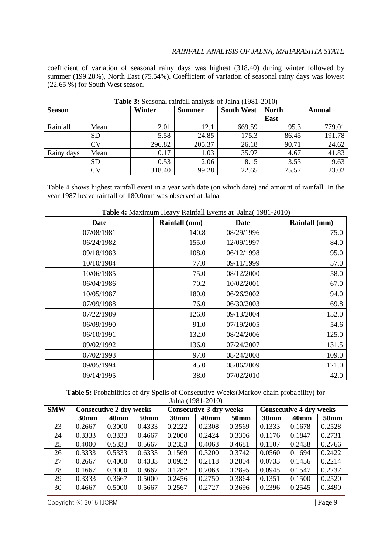coefficient of variation of seasonal rainy days was highest (318.40) during winter followed by summer (199.28%), North East (75.54%). Coefficient of variation of seasonal rainy days was lowest (22.65 %) for South West season.

| <b>Season</b> |           | Winter | <b>Summer</b> | <b>South West</b> | <b>North</b> | Annual |
|---------------|-----------|--------|---------------|-------------------|--------------|--------|
|               |           |        |               |                   | East         |        |
| Rainfall      | Mean      | 2.01   | 12.1          | 669.59            | 95.3         | 779.01 |
|               | <b>SD</b> | 5.58   | 24.85         | 175.3             | 86.45        | 191.78 |
|               | CV        | 296.82 | 205.37        | 26.18             | 90.71        | 24.62  |
| Rainy days    | Mean      | 0.17   | 1.03          | 35.97             | 4.67         | 41.83  |
|               | <b>SD</b> | 0.53   | 2.06          | 8.15              | 3.53         | 9.63   |
|               | CV        | 318.40 | 199.28        | 22.65             | 75.57        | 23.02  |

**Table 3:** Seasonal rainfall analysis of Jalna (1981-2010)

Table 4 shows highest rainfall event in a year with date (on which date) and amount of rainfall. In the year 1987 heave rainfall of 180.0mm was observed at Jalna

| <b>Date</b> | Rainfall (mm) | Date       | Rainfall (mm) |
|-------------|---------------|------------|---------------|
| 07/08/1981  | 140.8         | 08/29/1996 | 75.0          |
| 06/24/1982  | 155.0         | 12/09/1997 | 84.0          |
| 09/18/1983  | 108.0         | 06/12/1998 | 95.0          |
| 10/10/1984  | 77.0          | 09/11/1999 | 57.0          |
| 10/06/1985  | 75.0          | 08/12/2000 | 58.0          |
| 06/04/1986  | 70.2          | 10/02/2001 | 67.0          |
| 10/05/1987  | 180.0         | 06/26/2002 | 94.0          |
| 07/09/1988  | 76.0          | 06/30/2003 | 69.8          |
| 07/22/1989  | 126.0         | 09/13/2004 | 152.0         |
| 06/09/1990  | 91.0          | 07/19/2005 | 54.6          |
| 06/10/1991  | 132.0         | 08/24/2006 | 125.0         |
| 09/02/1992  | 136.0         | 07/24/2007 | 131.5         |
| 07/02/1993  | 97.0          | 08/24/2008 | 109.0         |
| 09/05/1994  | 45.0          | 08/06/2009 | 121.0         |
| 09/14/1995  | 38.0          | 07/02/2010 | 42.0          |

**Table 4:** Maximum Heavy Rainfall Events at Jalna( 1981-2010)

**Table 5:** Probabilities of dry Spells of Consecutive Weeks(Markov chain probability) for Jalna (1981-2010)

| <b>SMW</b> | <b>Consecutive 2 dry weeks</b> |         |             | <b>Consecutive 3 dry weeks</b> |             |             | <b>Consecutive 4 dry weeks</b> |             |             |
|------------|--------------------------------|---------|-------------|--------------------------------|-------------|-------------|--------------------------------|-------------|-------------|
|            | 30 <sub>mm</sub>               | $40$ mm | <b>50mm</b> | 30 <sub>mm</sub>               | <b>40mm</b> | <b>50mm</b> | 30 <sub>mm</sub>               | <b>40mm</b> | <b>50mm</b> |
| 23         | 0.2667                         | 0.3000  | 0.4333      | 0.2222                         | 0.2308      | 0.3569      | 0.1333                         | 0.1678      | 0.2528      |
| 24         | 0.3333                         | 0.3333  | 0.4667      | 0.2000                         | 0.2424      | 0.3306      | 0.1176                         | 0.1847      | 0.2731      |
| 25         | 0.4000                         | 0.5333  | 0.5667      | 0.2353                         | 0.4063      | 0.4681      | 0.1107                         | 0.2438      | 0.2766      |
| 26         | 0.3333                         | 0.5333  | 0.6333      | 0.1569                         | 0.3200      | 0.3742      | 0.0560                         | 0.1694      | 0.2422      |
| 27         | 0.2667                         | 0.4000  | 0.4333      | 0.0952                         | 0.2118      | 0.2804      | 0.0733                         | 0.1456      | 0.2214      |
| 28         | 0.1667                         | 0.3000  | 0.3667      | 0.1282                         | 0.2063      | 0.2895      | 0.0945                         | 0.1547      | 0.2237      |
| 29         | 0.3333                         | 0.3667  | 0.5000      | 0.2456                         | 0.2750      | 0.3864      | 0.1351                         | 0.1500      | 0.2520      |
| 30         | 0.4667                         | 0.5000  | 0.5667      | 0.2567                         | 0.2727      | 0.3696      | 0.2396                         | 0.2545      | 0.3490      |

Copyright © 2016 IJCRM | Page 9 |